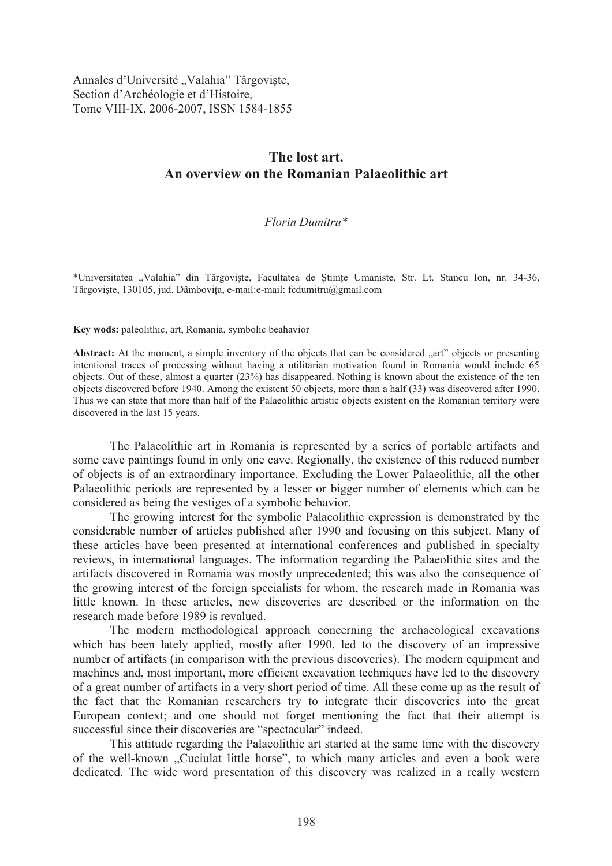Annales d'Université "Valahia" Târgoviște, Section d'Archéologie et d'Histoire, Tome VIII-IX, 2006-2007, ISSN 1584-1855

# **The lost art. An overview on the Romanian Palaeolithic art**

#### *Florin Dumitru\**

\*Universitatea "Valahia" din Târgoviste, Facultatea de Stiinte Umaniste, Str. Lt. Stancu Ion, nr. 34-36, Târgoviste, 130105, jud. Dâmbovita, e-mail: e-mail: fcdumitru@gmail.com

**Key wods:** paleolithic, art, Romania, symbolic beahavior

Abstract: At the moment, a simple inventory of the objects that can be considered "art" objects or presenting intentional traces of processing without having a utilitarian motivation found in Romania would include 65 objects. Out of these, almost a quarter (23%) has disappeared. Nothing is known about the existence of the ten objects discovered before 1940. Among the existent 50 objects, more than a half (33) was discovered after 1990. Thus we can state that more than half of the Palaeolithic artistic objects existent on the Romanian territory were discovered in the last 15 years.

The Palaeolithic art in Romania is represented by a series of portable artifacts and some cave paintings found in only one cave. Regionally, the existence of this reduced number of objects is of an extraordinary importance. Excluding the Lower Palaeolithic, all the other Palaeolithic periods are represented by a lesser or bigger number of elements which can be considered as being the vestiges of a symbolic behavior.

The growing interest for the symbolic Palaeolithic expression is demonstrated by the considerable number of articles published after 1990 and focusing on this subject. Many of these articles have been presented at international conferences and published in specialty reviews, in international languages. The information regarding the Palaeolithic sites and the artifacts discovered in Romania was mostly unprecedented; this was also the consequence of the growing interest of the foreign specialists for whom, the research made in Romania was little known. In these articles, new discoveries are described or the information on the research made before 1989 is revalued.

The modern methodological approach concerning the archaeological excavations which has been lately applied, mostly after 1990, led to the discovery of an impressive number of artifacts (in comparison with the previous discoveries). The modern equipment and machines and, most important, more efficient excavation techniques have led to the discovery of a great number of artifacts in a very short period of time. All these come up as the result of the fact that the Romanian researchers try to integrate their discoveries into the great European context; and one should not forget mentioning the fact that their attempt is successful since their discoveries are "spectacular" indeed.

This attitude regarding the Palaeolithic art started at the same time with the discovery of the well-known "Cuciulat little horse", to which many articles and even a book were dedicated. The wide word presentation of this discovery was realized in a really western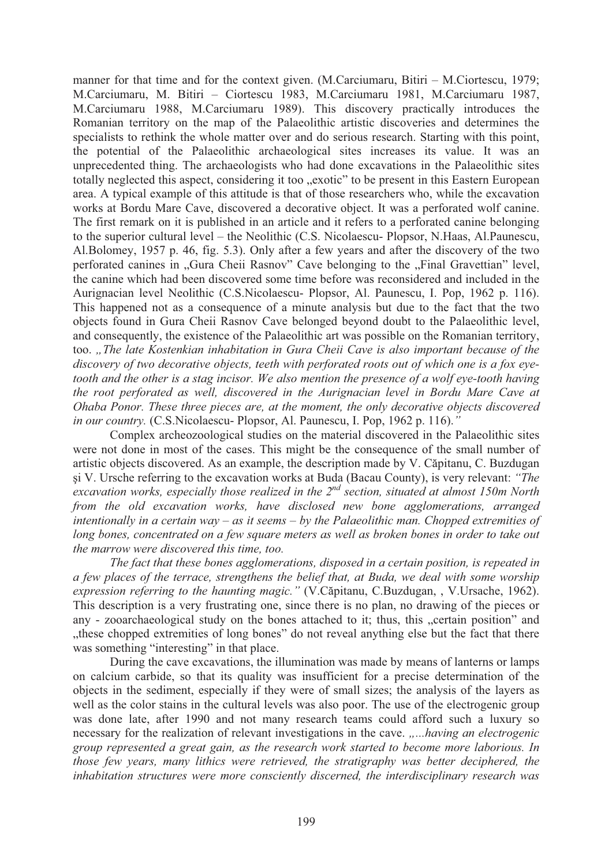manner for that time and for the context given. (M.Carciumaru, Bitiri – M.Ciortescu, 1979; M.Carciumaru, M. Bitiri – Ciortescu 1983, M.Carciumaru 1981, M.Carciumaru 1987, M.Carciumaru 1988, M.Carciumaru 1989). This discovery practically introduces the Romanian territory on the map of the Palaeolithic artistic discoveries and determines the specialists to rethink the whole matter over and do serious research. Starting with this point, the potential of the Palaeolithic archaeological sites increases its value. It was an unprecedented thing. The archaeologists who had done excavations in the Palaeolithic sites totally neglected this aspect, considering it too "exotic" to be present in this Eastern European area. A typical example of this attitude is that of those researchers who, while the excavation works at Bordu Mare Cave, discovered a decorative object. It was a perforated wolf canine. The first remark on it is published in an article and it refers to a perforated canine belonging to the superior cultural level – the Neolithic (C.S. Nicolaescu- Plopsor, N.Haas, Al.Paunescu, Al.Bolomey, 1957 p. 46, fig. 5.3). Only after a few years and after the discovery of the two perforated canines in "Gura Cheii Rasnov" Cave belonging to the "Final Gravettian" level, the canine which had been discovered some time before was reconsidered and included in the Aurignacian level Neolithic (C.S.Nicolaescu- Plopsor, Al. Paunescu, I. Pop, 1962 p. 116). This happened not as a consequence of a minute analysis but due to the fact that the two objects found in Gura Cheii Rasnov Cave belonged beyond doubt to the Palaeolithic level, and consequently, the existence of the Palaeolithic art was possible on the Romanian territory, too. *"The late Kostenkian inhabitation in Gura Cheii Cave is also important because of the discovery of two decorative objects, teeth with perforated roots out of which one is a fox eyetooth and the other is a stag incisor. We also mention the presence of a wolf eye-tooth having the root perforated as well, discovered in the Aurignacian level in Bordu Mare Cave at Ohaba Ponor. These three pieces are, at the moment, the only decorative objects discovered in our country.* (C.S.Nicolaescu- Plopsor, Al. Paunescu, I. Pop, 1962 p. 116).*"*

Complex archeozoological studies on the material discovered in the Palaeolithic sites were not done in most of the cases. This might be the consequence of the small number of artistic objects discovered. As an example, the description made by V. Căpitanu, C. Buzdugan i V. Ursche referring to the excavation works at Buda (Bacau County), is very relevant: *"The*  excavation works, especially those realized in the 2<sup>nd</sup> section, situated at almost 150m North *from the old excavation works, have disclosed new bone agglomerations, arranged intentionally in a certain way – as it seems – by the Palaeolithic man. Chopped extremities of long bones, concentrated on a few square meters as well as broken bones in order to take out the marrow were discovered this time, too.* 

*The fact that these bones agglomerations, disposed in a certain position, is repeated in a few places of the terrace, strengthens the belief that, at Buda, we deal with some worship expression referring to the haunting magic.*" (V.Căpitanu, C.Buzdugan, , V.Ursache, 1962). This description is a very frustrating one, since there is no plan, no drawing of the pieces or any - zooarchaeological study on the bones attached to it; thus, this "certain position" and "these chopped extremities of long bones" do not reveal anything else but the fact that there was something "interesting" in that place.

During the cave excavations, the illumination was made by means of lanterns or lamps on calcium carbide, so that its quality was insufficient for a precise determination of the objects in the sediment, especially if they were of small sizes; the analysis of the layers as well as the color stains in the cultural levels was also poor. The use of the electrogenic group was done late, after 1990 and not many research teams could afford such a luxury so necessary for the realization of relevant investigations in the cave. *.....having an electrogenic group represented a great gain, as the research work started to become more laborious. In those few years, many lithics were retrieved, the stratigraphy was better deciphered, the inhabitation structures were more consciently discerned, the interdisciplinary research was*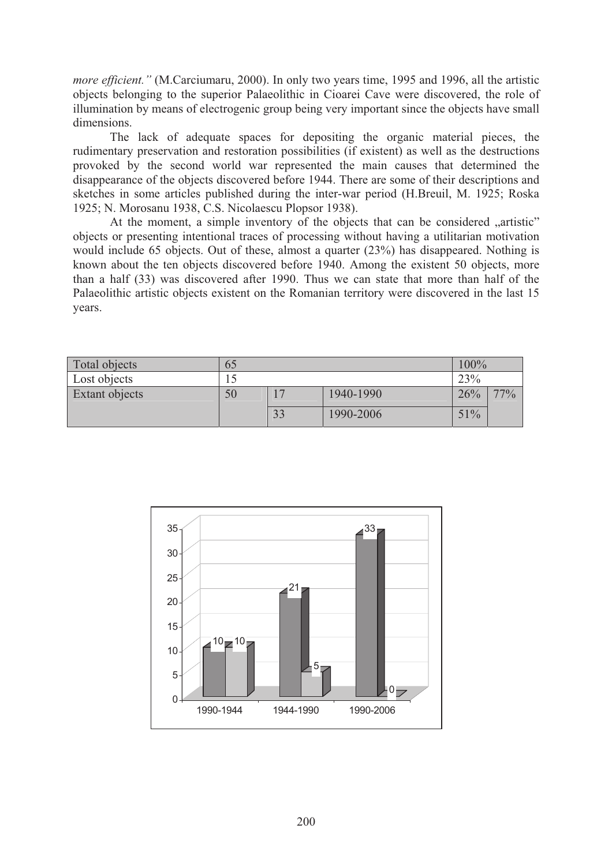*more efficient.*" (M.Carciumaru, 2000). In only two years time, 1995 and 1996, all the artistic objects belonging to the superior Palaeolithic in Cioarei Cave were discovered, the role of illumination by means of electrogenic group being very important since the objects have small dimensions.

The lack of adequate spaces for depositing the organic material pieces, the rudimentary preservation and restoration possibilities (if existent) as well as the destructions provoked by the second world war represented the main causes that determined the disappearance of the objects discovered before 1944. There are some of their descriptions and sketches in some articles published during the inter-war period (H.Breuil, M. 1925; Roska 1925; N. Morosanu 1938, C.S. Nicolaescu Plopsor 1938).

At the moment, a simple inventory of the objects that can be considered "artistic" objects or presenting intentional traces of processing without having a utilitarian motivation would include 65 objects. Out of these, almost a quarter (23%) has disappeared. Nothing is known about the ten objects discovered before 1940. Among the existent 50 objects, more than a half (33) was discovered after 1990. Thus we can state that more than half of the Palaeolithic artistic objects existent on the Romanian territory were discovered in the last 15 years.

| Total objects  | 65 |    |           | 100% |     |
|----------------|----|----|-----------|------|-----|
| Lost objects   |    |    |           | 23%  |     |
| Extant objects | 50 |    | 1940-1990 | 26%  | 77% |
|                |    | 33 | 1990-2006 | 51%  |     |

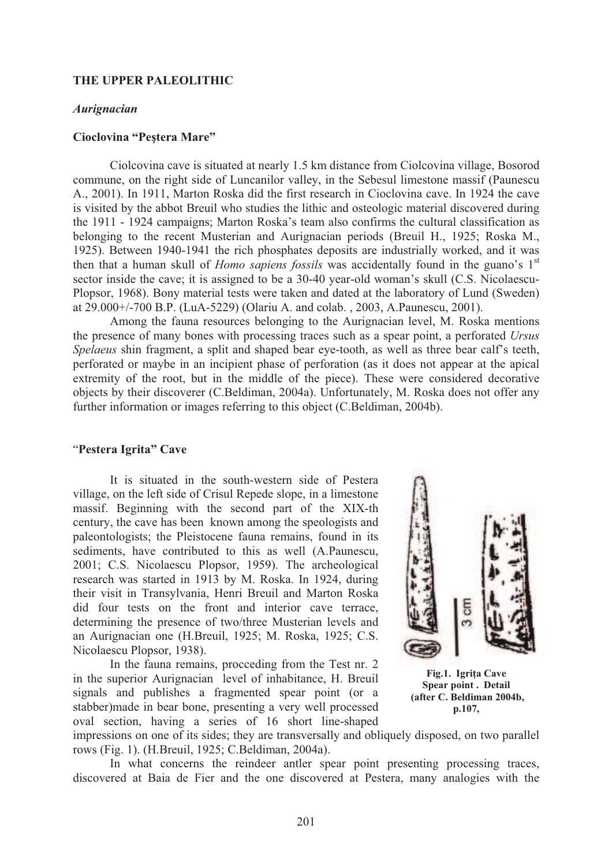# **THE UPPER PALEOLITHIC**

#### *Aurignacian*

#### **Cioclovina "Peștera Mare"**

Ciolcovina cave is situated at nearly 1.5 km distance from Ciolcovina village, Bosorod commune, on the right side of Luncanilor valley, in the Sebesul limestone massif (Paunescu A., 2001). In 1911, Marton Roska did the first research in Cioclovina cave. In 1924 the cave is visited by the abbot Breuil who studies the lithic and osteologic material discovered during the 1911 - 1924 campaigns; Marton Roska's team also confirms the cultural classification as belonging to the recent Musterian and Aurignacian periods (Breuil H., 1925; Roska M., 1925). Between 1940-1941 the rich phosphates deposits are industrially worked, and it was then that a human skull of *Homo sapiens fossils* was accidentally found in the guano's 1<sup>st</sup> sector inside the cave; it is assigned to be a 30-40 year-old woman's skull (C.S. Nicolaescu-Plopsor, 1968). Bony material tests were taken and dated at the laboratory of Lund (Sweden) at 29.000+/-700 B.P. (LuA-5229) (Olariu A. and colab. , 2003, A.Paunescu, 2001).

 Among the fauna resources belonging to the Aurignacian level, M. Roska mentions the presence of many bones with processing traces such as a spear point, a perforated *Ursus Spelaeus* shin fragment, a split and shaped bear eye-tooth, as well as three bear calf's teeth, perforated or maybe in an incipient phase of perforation (as it does not appear at the apical extremity of the root, but in the middle of the piece). These were considered decorative objects by their discoverer (C.Beldiman, 2004a). Unfortunately, M. Roska does not offer any further information or images referring to this object (C.Beldiman, 2004b).

# "**Pestera Igrita" Cave**

It is situated in the south-western side of Pestera village, on the left side of Crisul Repede slope, in a limestone massif. Beginning with the second part of the XIX-th century, the cave has been known among the speologists and paleontologists; the Pleistocene fauna remains, found in its sediments, have contributed to this as well (A.Paunescu, 2001; C.S. Nicolaescu Plopsor, 1959). The archeological research was started in 1913 by M. Roska. In 1924, during their visit in Transylvania, Henri Breuil and Marton Roska did four tests on the front and interior cave terrace, determining the presence of two/three Musterian levels and an Aurignacian one (H.Breuil, 1925; M. Roska, 1925; C.S. Nicolaescu Plopsor, 1938).

In the fauna remains, procceding from the Test nr. 2 in the superior Aurignacian level of inhabitance, H. Breuil signals and publishes a fragmented spear point (or a stabber)made in bear bone, presenting a very well processed oval section, having a series of 16 short line-shaped



**Fig.1. Igri!a Cave Spear point . Detail (after C. Beldiman 2004b, p.107,** 

impressions on one of its sides; they are transversally and obliquely disposed, on two parallel rows (Fig. 1). (H.Breuil, 1925; C.Beldiman, 2004a).

In what concerns the reindeer antler spear point presenting processing traces, discovered at Baia de Fier and the one discovered at Pestera, many analogies with the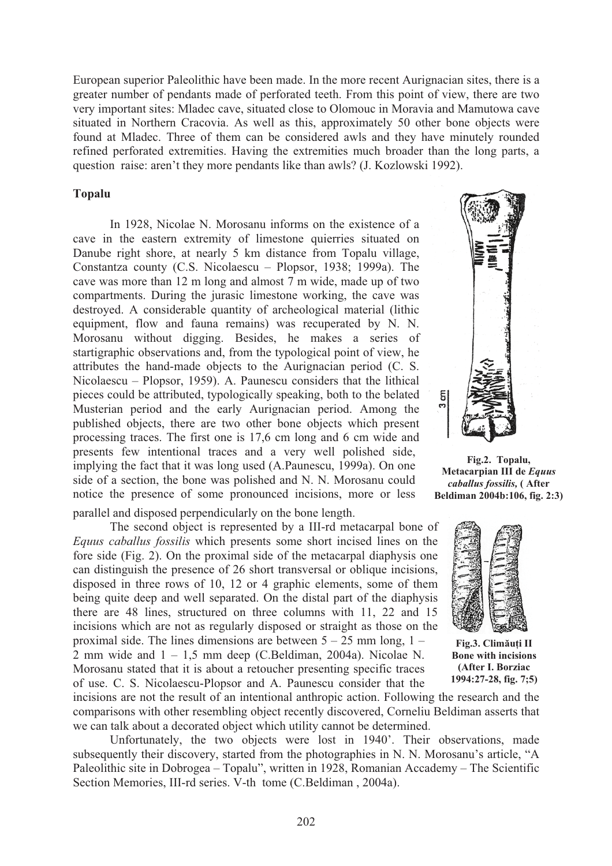European superior Paleolithic have been made. In the more recent Aurignacian sites, there is a greater number of pendants made of perforated teeth. From this point of view, there are two very important sites: Mladec cave, situated close to Olomouc in Moravia and Mamutowa cave situated in Northern Cracovia. As well as this, approximately 50 other bone objects were found at Mladec. Three of them can be considered awls and they have minutely rounded refined perforated extremities. Having the extremities much broader than the long parts, a question raise: aren't they more pendants like than awls? (J. Kozlowski 1992).

# **Topalu**

In 1928, Nicolae N. Morosanu informs on the existence of a cave in the eastern extremity of limestone quierries situated on Danube right shore, at nearly 5 km distance from Topalu village, Constantza county (C.S. Nicolaescu – Plopsor, 1938; 1999a). The cave was more than 12 m long and almost 7 m wide, made up of two compartments. During the jurasic limestone working, the cave was destroyed. A considerable quantity of archeological material (lithic equipment, flow and fauna remains) was recuperated by N. N. Morosanu without digging. Besides, he makes a series of startigraphic observations and, from the typological point of view, he attributes the hand-made objects to the Aurignacian period (C. S. Nicolaescu – Plopsor, 1959). A. Paunescu considers that the lithical pieces could be attributed, typologically speaking, both to the belated Musterian period and the early Aurignacian period. Among the published objects, there are two other bone objects which present processing traces. The first one is 17,6 cm long and 6 cm wide and presents few intentional traces and a very well polished side, implying the fact that it was long used (A.Paunescu, 1999a). On one side of a section, the bone was polished and N. N. Morosanu could notice the presence of some pronounced incisions, more or less parallel and disposed perpendicularly on the bone length.

The second object is represented by a III-rd metacarpal bone of *Equus caballus fossilis* which presents some short incised lines on the fore side (Fig. 2). On the proximal side of the metacarpal diaphysis one can distinguish the presence of 26 short transversal or oblique incisions, disposed in three rows of 10, 12 or 4 graphic elements, some of them being quite deep and well separated. On the distal part of the diaphysis there are 48 lines, structured on three columns with 11, 22 and 15 incisions which are not as regularly disposed or straight as those on the proximal side. The lines dimensions are between  $5 - 25$  mm long,  $1 -$ 2 mm wide and  $1 - 1.5$  mm deep (C.Beldiman, 2004a). Nicolae N. Morosanu stated that it is about a retoucher presenting specific traces of use. C. S. Nicolaescu-Plopsor and A. Paunescu consider that the



**Fig.2. Topalu, Metacarpian III de** *Equus caballus fossilis,* **( After Beldiman 2004b:106, fig. 2:3)** 



**Fig.3. Climăuti II Bone with incisions (After I. Borziac 1994:27-28, fig. 7;5)** 

incisions are not the result of an intentional anthropic action. Following the research and the comparisons with other resembling object recently discovered, Corneliu Beldiman asserts that we can talk about a decorated object which utility cannot be determined.

Unfortunately, the two objects were lost in 1940'. Their observations, made subsequently their discovery, started from the photographies in N. N. Morosanu's article, "A Paleolithic site in Dobrogea – Topalu", written in 1928, Romanian Accademy – The Scientific Section Memories, III-rd series. V-th tome (C.Beldiman , 2004a).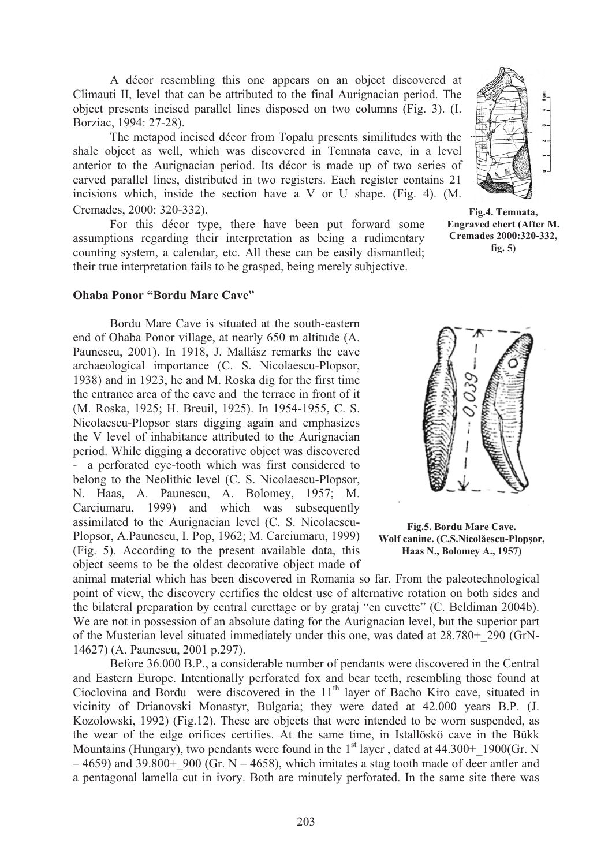A décor resembling this one appears on an object discovered at Climauti II, level that can be attributed to the final Aurignacian period. The object presents incised parallel lines disposed on two columns (Fig. 3). (I. Borziac, 1994: 27-28).

The metapod incised décor from Topalu presents similitudes with the shale object as well, which was discovered in Temnata cave, in a level anterior to the Aurignacian period. Its décor is made up of two series of carved parallel lines, distributed in two registers. Each register contains 21 incisions which, inside the section have a V or U shape. (Fig. 4). (M. Cremades, 2000: 320-332).

For this décor type, there have been put forward some assumptions regarding their interpretation as being a rudimentary counting system, a calendar, etc. All these can be easily dismantled; their true interpretation fails to be grasped, being merely subjective.



**Fig.4. Temnata, Engraved chert (After M. Cremades 2000:320-332, fig. 5)** 

#### **Ohaba Ponor "Bordu Mare Cave"**

Bordu Mare Cave is situated at the south-eastern end of Ohaba Ponor village, at nearly 650 m altitude (A. Paunescu, 2001). In 1918, J. Mallász remarks the cave archaeological importance (C. S. Nicolaescu-Plopsor, 1938) and in 1923, he and M. Roska dig for the first time the entrance area of the cave and the terrace in front of it (M. Roska, 1925; H. Breuil, 1925). In 1954-1955, C. S. Nicolaescu-Plopsor stars digging again and emphasizes the V level of inhabitance attributed to the Aurignacian period. While digging a decorative object was discovered - a perforated eye-tooth which was first considered to belong to the Neolithic level (C. S. Nicolaescu-Plopsor, N. Haas, A. Paunescu, A. Bolomey, 1957; M. Carciumaru, 1999) and which was subsequently assimilated to the Aurignacian level (C. S. Nicolaescu-Plopsor, A.Paunescu, I. Pop, 1962; M. Carciumaru, 1999) (Fig. 5). According to the present available data, this object seems to be the oldest decorative object made of



**Fig.5. Bordu Mare Cave.**   $W$ olf canine. (C.S.Nicolăescu-Plopșor, **Haas N., Bolomey A., 1957)** 

animal material which has been discovered in Romania so far. From the paleotechnological point of view, the discovery certifies the oldest use of alternative rotation on both sides and the bilateral preparation by central curettage or by grataj "en cuvette" (C. Beldiman 2004b). We are not in possession of an absolute dating for the Aurignacian level, but the superior part of the Musterian level situated immediately under this one, was dated at 28.780+\_290 (GrN-14627) (A. Paunescu, 2001 p.297).

Before 36.000 B.P., a considerable number of pendants were discovered in the Central and Eastern Europe. Intentionally perforated fox and bear teeth, resembling those found at Cioclovina and Bordu were discovered in the 11<sup>th</sup> layer of Bacho Kiro cave, situated in vicinity of Drianovski Monastyr, Bulgaria; they were dated at 42.000 years B.P. (J. Kozolowski, 1992) (Fig.12). These are objects that were intended to be worn suspended, as the wear of the edge orifices certifies. At the same time, in Istallöskö cave in the Bükk Mountains (Hungary), two pendants were found in the  $1<sup>st</sup>$  layer, dated at 44.300+ 1900(Gr. N  $-4659$ ) and 39.800+ 900 (Gr. N – 4658), which imitates a stag tooth made of deer antler and a pentagonal lamella cut in ivory. Both are minutely perforated. In the same site there was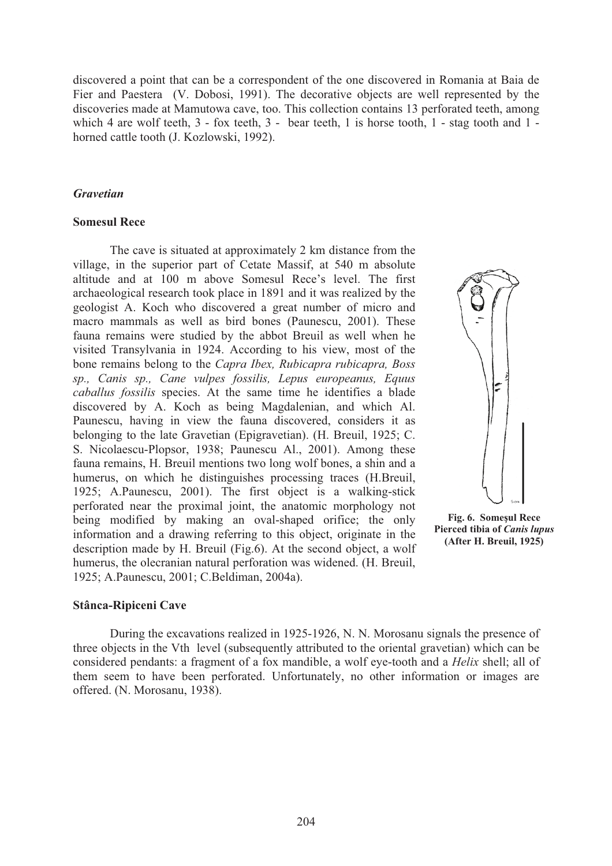discovered a point that can be a correspondent of the one discovered in Romania at Baia de Fier and Paestera (V. Dobosi, 1991). The decorative objects are well represented by the discoveries made at Mamutowa cave, too. This collection contains 13 perforated teeth, among which 4 are wolf teeth, 3 - fox teeth, 3 - bear teeth, 1 is horse tooth, 1 - stag tooth and 1 horned cattle tooth (J. Kozlowski, 1992).

# *Gravetian*

# **Somesul Rece**

 The cave is situated at approximately 2 km distance from the village, in the superior part of Cetate Massif, at 540 m absolute altitude and at 100 m above Somesul Rece's level. The first archaeological research took place in 1891 and it was realized by the geologist A. Koch who discovered a great number of micro and macro mammals as well as bird bones (Paunescu, 2001). These fauna remains were studied by the abbot Breuil as well when he visited Transylvania in 1924. According to his view, most of the bone remains belong to the *Capra Ibex, Rubicapra rubicapra, Boss sp., Canis sp., Cane vulpes fossilis, Lepus europeanus, Equus caballus fossilis* species. At the same time he identifies a blade discovered by A. Koch as being Magdalenian, and which Al. Paunescu, having in view the fauna discovered, considers it as belonging to the late Gravetian (Epigravetian). (H. Breuil, 1925; C. S. Nicolaescu-Plopsor, 1938; Paunescu Al., 2001). Among these fauna remains, H. Breuil mentions two long wolf bones, a shin and a humerus, on which he distinguishes processing traces (H.Breuil, 1925; A.Paunescu, 2001). The first object is a walking-stick perforated near the proximal joint, the anatomic morphology not being modified by making an oval-shaped orifice; the only information and a drawing referring to this object, originate in the description made by H. Breuil (Fig.6). At the second object, a wolf humerus, the olecranian natural perforation was widened. (H. Breuil, 1925; A.Paunescu, 2001; C.Beldiman, 2004a).



**Fig. 6. Somesul Rece Pierced tibia of** *Canis lupus*  **(After H. Breuil, 1925)** 

# **Stânca-Ripiceni Cave**

 During the excavations realized in 1925-1926, N. N. Morosanu signals the presence of three objects in the Vth level (subsequently attributed to the oriental gravetian) which can be considered pendants: a fragment of a fox mandible, a wolf eye-tooth and a *Helix* shell; all of them seem to have been perforated. Unfortunately, no other information or images are offered. (N. Morosanu, 1938).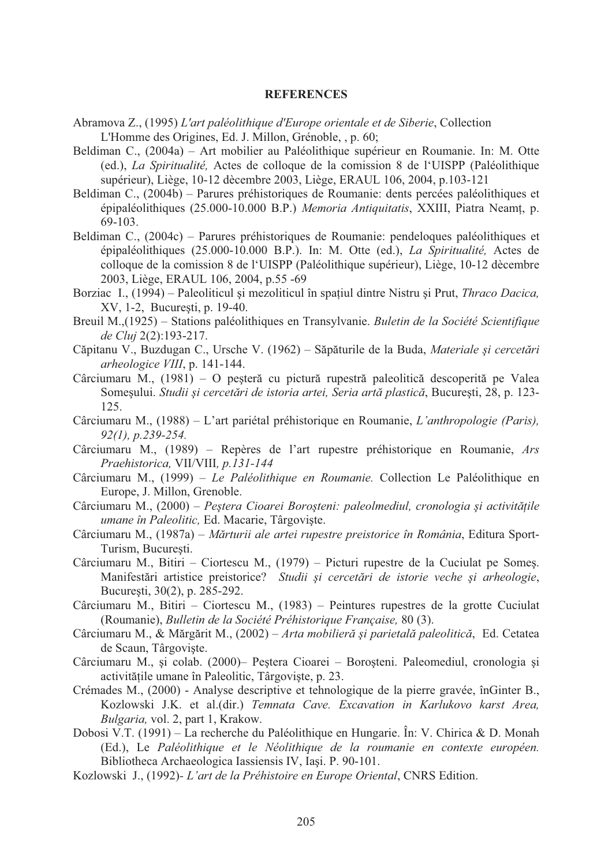#### **REFERENCES**

- Abramova Z., (1995) *L'art paléolithique d'Europe orientale et de Siberie*, Collection L'Homme des Origines, Ed. J. Millon, Grénoble, , p. 60;
- Beldiman C., (2004a) Art mobilier au Paléolithique supérieur en Roumanie. In: M. Otte (ed.), *La Spiritualité,* Actes de colloque de la comission 8 de l'UISPP (Paléolithique supérieur), Liège, 10-12 dècembre 2003, Liège, ERAUL 106, 2004, p.103-121
- Beldiman C., (2004b) Parures préhistoriques de Roumanie: dents percées paléolithiques et épipaléolithiques (25.000-10.000 B.P.) *Memoria Antiquitatis*, XXIII, Piatra Neamt, p. 69-103.
- Beldiman C., (2004c) Parures préhistoriques de Roumanie: pendeloques paléolithiques et épipaléolithiques (25.000-10.000 B.P.). In: M. Otte (ed.), *La Spiritualité,* Actes de colloque de la comission 8 de l'UISPP (Paléolithique supérieur), Liège, 10-12 dècembre 2003, Liège, ERAUL 106, 2004, p.55 -69
- Borziac I., (1994) Paleoliticul și mezoliticul în spațiul dintre Nistru și Prut, *Thraco Dacica*, XV, 1-2, Bucuresti, p. 19-40.
- Breuil M.,(1925) Stations paléolithiques en Transylvanie. *Buletin de la Société Scientifique de Cluj* 2(2):193-217.
- Căpitanu V., Buzdugan C., Ursche V. (1962) Săpăturile de la Buda, Materiale și cercetări *arheologice VIII*, p. 141-144.
- Cârciumaru M.,  $(1981) O$  pesteră cu pictură rupestră paleolitică descoperită pe Valea Some ului. *Studii i cercet!ri de istoria artei, Seria art! plastic!*, Bucure ti, 28, p. 123- 125.
- Cârciumaru M., (1988) L'art pariétal préhistorique en Roumanie, *L'anthropologie (Paris), 92(1), p.239-254.*
- Cârciumaru M., (1989) Repères de l'art rupestre préhistorique en Roumanie, *Ars Praehistorica,* VII/VIII*, p.131-144*
- Cârciumaru M., (1999) *Le Paléolithique en Roumanie.* Collection Le Paléolithique en Europe, J. Millon, Grenoble.
- Cârciumaru M., (2000) Peștera Cioarei Boroșteni: paleolmediul, cronologia și activitățile *umane în Paleolitic, Ed. Macarie, Târgoviște.*
- Cârciumaru M., (1987a) *Mărturii ale artei rupestre preistorice în România*, Editura Sport-Turism, Bucuresti.
- Cârciumaru M., Bitiri Ciortescu M., (1979) Picturi rupestre de la Cuciulat pe Somes. Manifestări artistice preistorice? *Studii și cercetări de istorie veche și arheologie*, Bucure sti, 30(2), p. 285-292.
- Cârciumaru M., Bitiri Ciortescu M., (1983) Peintures rupestres de la grotte Cuciulat (Roumanie), *Bulletin de la Société Préhistorique Française,* 80 (3).
- Cârciumaru M., & Mărgărit M., (2002) Arta mobilieră și parietală paleolitică, Ed. Cetatea de Scaun, Târgoviste.
- Cârciumaru M., și colab. (2000) Peștera Cioarei Boroșteni. Paleomediul, cronologia și activitățile umane în Paleolitic, Târgoviște, p. 23.
- Crémades M., (2000) Analyse descriptive et tehnologique de la pierre gravée, înGinter B., Kozlowski J.K. et al.(dir.) *Temnata Cave. Excavation in Karlukovo karst Area, Bulgaria,* vol. 2, part 1, Krakow.
- Dobosi V.T. (1991) La recherche du Paléolithique en Hungarie. În: V. Chirica & D. Monah (Ed.), Le *Paléolithique et le Néolithique de la roumanie en contexte européen.*  Bibliotheca Archaeologica Iassiensis IV, Iași. P. 90-101.
- Kozlowski J., (1992) *L'art de la Préhistoire en Europe Oriental*, CNRS Edition.